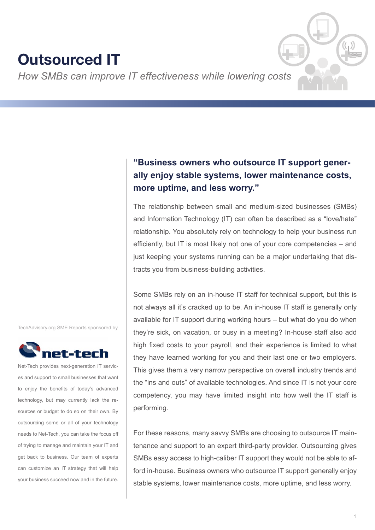# **Outsourced IT**

*How SMBs can improve IT effectiveness while lowering costs*

The relationship between small and medium-sized businesses (SMBs) **more uptime, and less worry."**

**"Business owners who outsource IT support gener-**

**ally enjoy stable systems, lower maintenance costs,** 

and Information Technology (IT) can often be described as a "love/hate" relationship. You absolutely rely on technology to help your business run efficiently, but IT is most likely not one of your core competencies – and just keeping your systems running can be a major undertaking that distracts you from business-building activities.

Some SMBs rely on an in-house IT staff for technical support, but this is not always all it's cracked up to be. An in-house IT staff is generally only available for IT support during working hours – but what do you do when they're sick, on vacation, or busy in a meeting? In-house staff also add high fixed costs to your payroll, and their experience is limited to what they have learned working for you and their last one or two employers. This gives them a very narrow perspective on overall industry trends and the "ins and outs" of available technologies. And since IT is not your core competency, you may have limited insight into how well the IT staff is performing.

For these reasons, many savvy SMBs are choosing to outsource IT maintenance and support to an expert third-party provider. Outsourcing gives SMBs easy access to high-caliber IT support they would not be able to afford in-house. Business owners who outsource IT support generally enjoy stable systems, lower maintenance costs, more uptime, and less worry.

TechAdvisory.org SME Reports sponsored by



Net-Tech provides next-generation IT services and support to small businesses that want to enjoy the benefits of today's advanced technology, but may currently lack the resources or budget to do so on their own. By outsourcing some or all of your technology needs to Net-Tech, you can take the focus off of trying to manage and maintain your IT and get back to business. Our team of experts can customize an IT strategy that will help your business succeed now and in the future.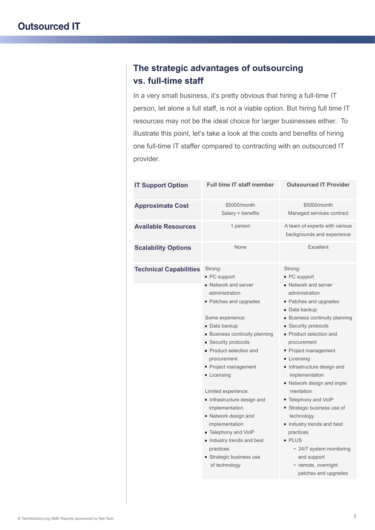## **The strategic advantages of outsourcing vs. full-time staff**

In a very small business, it's pretty obvious that hiring a full-time IT person, let alone a full staff, is not a viable option. But hiring full time IT resources may not be the ideal choice for larger businesses either. To illustrate this point, let's take a look at the costs and benefits of hiring one full-time IT staffer compared to contracting with an outsourced IT provider.

| <b>IT Support Option</b>      | <b>Full time IT staff member</b>                                                                                                                                                                                                                                                                                                                                                                                                                                                                                  | <b>Outsourced IT Provider</b>                                                                                                                                                                                                                                                                                                                                                                                                                                                                                                                                     |
|-------------------------------|-------------------------------------------------------------------------------------------------------------------------------------------------------------------------------------------------------------------------------------------------------------------------------------------------------------------------------------------------------------------------------------------------------------------------------------------------------------------------------------------------------------------|-------------------------------------------------------------------------------------------------------------------------------------------------------------------------------------------------------------------------------------------------------------------------------------------------------------------------------------------------------------------------------------------------------------------------------------------------------------------------------------------------------------------------------------------------------------------|
| <b>Approximate Cost</b>       | \$5000/month<br>Salary + benefits                                                                                                                                                                                                                                                                                                                                                                                                                                                                                 | \$5000/month<br>Managed services contract                                                                                                                                                                                                                                                                                                                                                                                                                                                                                                                         |
| <b>Available Resources</b>    | 1 person                                                                                                                                                                                                                                                                                                                                                                                                                                                                                                          | A team of experts with various<br>backgrounds and experience                                                                                                                                                                                                                                                                                                                                                                                                                                                                                                      |
| <b>Scalability Options</b>    | <b>None</b>                                                                                                                                                                                                                                                                                                                                                                                                                                                                                                       | Excellent                                                                                                                                                                                                                                                                                                                                                                                                                                                                                                                                                         |
| <b>Technical Capabilities</b> | Strong:<br>$\blacksquare$ PC support<br>• Network and server<br>administration<br>• Patches and upgrades<br>Some experience:<br>Data backup<br><b>Business continuity planning</b><br>• Security protocols<br>• Product selection and<br>procurement<br>Project management<br>Licensing<br>Limited experience:<br>Infrastructure design and<br>implementation<br>• Network design and<br>implementation<br>Telephony and VoIP<br>Industry trends and best<br>practices<br>Strategic business use<br>of technology | Strong:<br>■ PC support<br>Network and server<br>administration<br>■ Patches and upgrades<br>Data backup<br><b>Business continuity planning</b><br>■ Security protocols<br>Product selection and<br>procurement<br>Project management<br>Licensing<br>Infrastructure design and<br>implementation<br>Network design and imple<br>mentation<br>■ Telephony and VoIP<br>Strategic business use of<br>technology<br>Industry trends and best<br>practices<br><b>• PLUS</b><br>• 24/7 system monitoring<br>and support<br>• remote, overnight<br>patches and upgrades |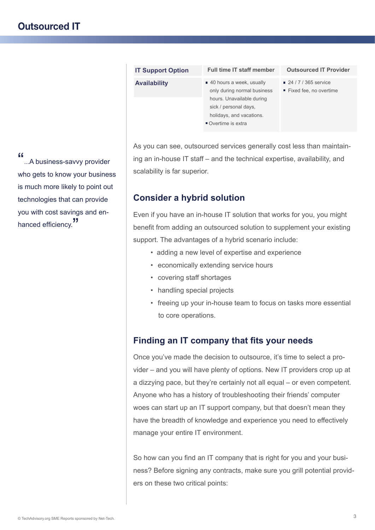| <b>IT Support Option</b> | <b>Full time IT staff member</b>                                                                                                                                   | <b>Outsourced IT Provider</b>                      |
|--------------------------|--------------------------------------------------------------------------------------------------------------------------------------------------------------------|----------------------------------------------------|
| <b>Availability</b>      | ■ 40 hours a week, usually<br>only during normal business<br>hours. Unavailable during<br>sick / personal days,<br>holidays, and vacations.<br>■ Overtime is extra | ■ 24 / 7 / 365 service<br>■ Fixed fee, no overtime |

As you can see, outsourced services generally cost less than maintaining an in-house IT staff – and the technical expertise, availability, and scalability is far superior.

### **Consider a hybrid solution**

Even if you have an in-house IT solution that works for you, you might benefit from adding an outsourced solution to supplement your existing support. The advantages of a hybrid scenario include:

- adding a new level of expertise and experience
- economically extending service hours
- covering staff shortages
- handling special projects
- freeing up your in-house team to focus on tasks more essential to core operations.

#### **Finding an IT company that fits your needs**

Once you've made the decision to outsource, it's time to select a provider – and you will have plenty of options. New IT providers crop up at a dizzying pace, but they're certainly not all equal – or even competent. Anyone who has a history of troubleshooting their friends' computer woes can start up an IT support company, but that doesn't mean they have the breadth of knowledge and experience you need to effectively manage your entire IT environment.

So how can you find an IT company that is right for you and your business? Before signing any contracts, make sure you grill potential providers on these two critical points:

"...A business-savvy provider who gets to know your business is much more likely to point out technologies that can provide you with cost savings and enhanced efficiency.<sup>"</sup>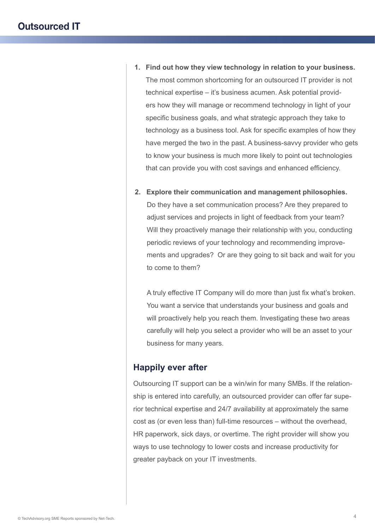- **1. Find out how they view technology in relation to your business.** The most common shortcoming for an outsourced IT provider is not technical expertise – it's business acumen. Ask potential providers how they will manage or recommend technology in light of your specific business goals, and what strategic approach they take to technology as a business tool. Ask for specific examples of how they have merged the two in the past. A business-savvy provider who gets to know your business is much more likely to point out technologies that can provide you with cost savings and enhanced efficiency.
- **2. Explore their communication and management philosophies.** Do they have a set communication process? Are they prepared to adjust services and projects in light of feedback from your team? Will they proactively manage their relationship with you, conducting periodic reviews of your technology and recommending improvements and upgrades? Or are they going to sit back and wait for you to come to them?

A truly effective IT Company will do more than just fix what's broken. You want a service that understands your business and goals and will proactively help you reach them. Investigating these two areas carefully will help you select a provider who will be an asset to your business for many years.

#### **Happily ever after**

Outsourcing IT support can be a win/win for many SMBs. If the relationship is entered into carefully, an outsourced provider can offer far superior technical expertise and 24/7 availability at approximately the same cost as (or even less than) full-time resources – without the overhead, HR paperwork, sick days, or overtime. The right provider will show you ways to use technology to lower costs and increase productivity for greater payback on your IT investments.